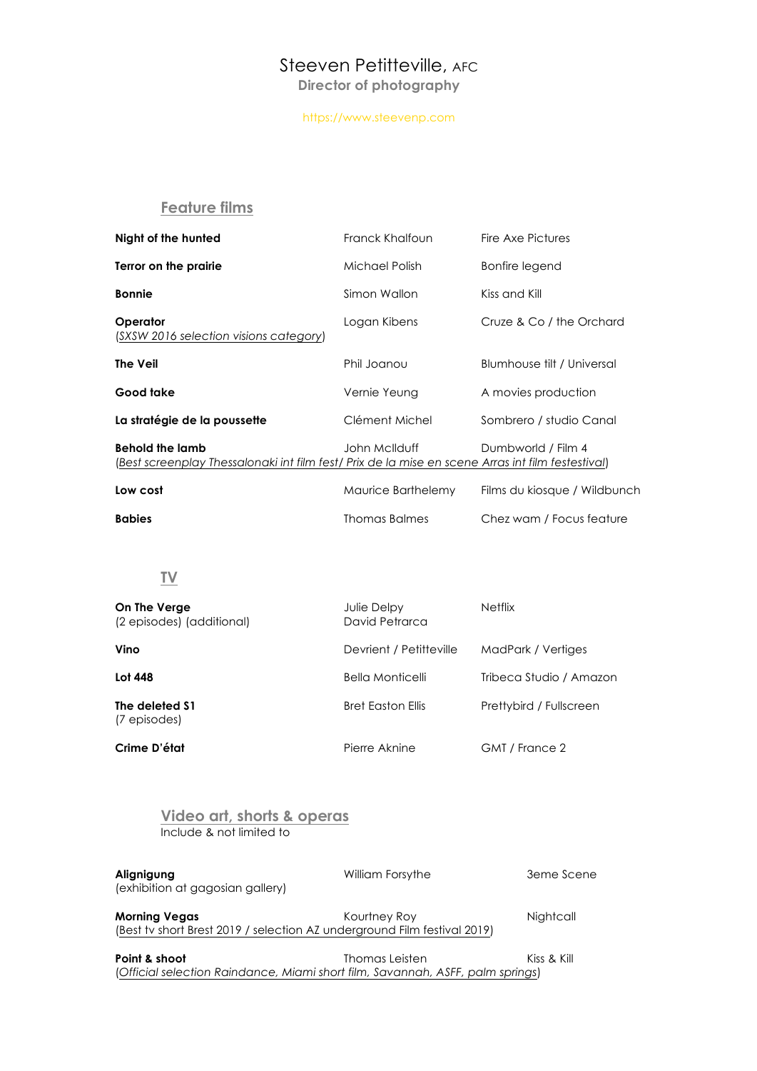# Steeven Petitteville, AFC

**Director of photography**

#### https://www.steevenp.com

## **Feature films**

| Night of the hunted                                                                                                         | Franck Khalfoun      | Fire Axe Pictures            |
|-----------------------------------------------------------------------------------------------------------------------------|----------------------|------------------------------|
| Terror on the prairie                                                                                                       | Michael Polish       | Bonfire legend               |
| <b>Bonnie</b>                                                                                                               | Simon Wallon         | Kiss and Kill                |
| Operator<br>(SXSW 2016 selection visions category)                                                                          | Logan Kibens         | Cruze & Co / the Orchard     |
| <b>The Veil</b>                                                                                                             | Phil Joanou          | Blumhouse filt / Universal   |
| Good take                                                                                                                   | Vernie Yeung         | A movies production          |
| La stratégie de la poussette                                                                                                | Clément Michel       | Sombrero / studio Canal      |
| <b>Behold the lamb</b><br>(Best screenplay Thessalonaki int film fest/ Prix de la mise en scene Arras int film festestival) | John McIlduff        | Dumbworld / Film 4           |
| Low cost                                                                                                                    | Maurice Barthelemy   | Films du kiosque / Wildbunch |
| <b>Babies</b>                                                                                                               | <b>Thomas Balmes</b> | Chez wam / Focus feature     |

## **TV**

| On The Verge<br>(2 episodes) (additional) | Julie Delpy<br>David Petrarca | <b>Netflix</b>          |
|-------------------------------------------|-------------------------------|-------------------------|
| Vino                                      | Devrient / Petitteville       | MadPark / Vertiges      |
| Lot 448                                   | Bella Monticelli              | Tribeca Studio / Amazon |
| The deleted \$1<br>(7 episodes)           | Bret Easton Ellis             | Prettybird / Fullscreen |
| Crime D'état                              | Pierre Aknine                 | GMT / France 2          |

| Video art, shorts & operas<br>Include & not limited to |                                                                                          |             |
|--------------------------------------------------------|------------------------------------------------------------------------------------------|-------------|
| Alignigung<br>(exhibition at gagosian gallery)         | William Forsythe                                                                         | 3eme Scene  |
| <b>Morning Vegas</b>                                   | Kourtney Roy<br>(Best tv short Brest 2019 / selection AZ underground Film festival 2019) | Nightcall   |
| Point & shoot                                          | Thomas Leisten                                                                           | Kiss & Kill |

(*Official selection Raindance, Miami short film, Savannah, ASFF, palm springs*)